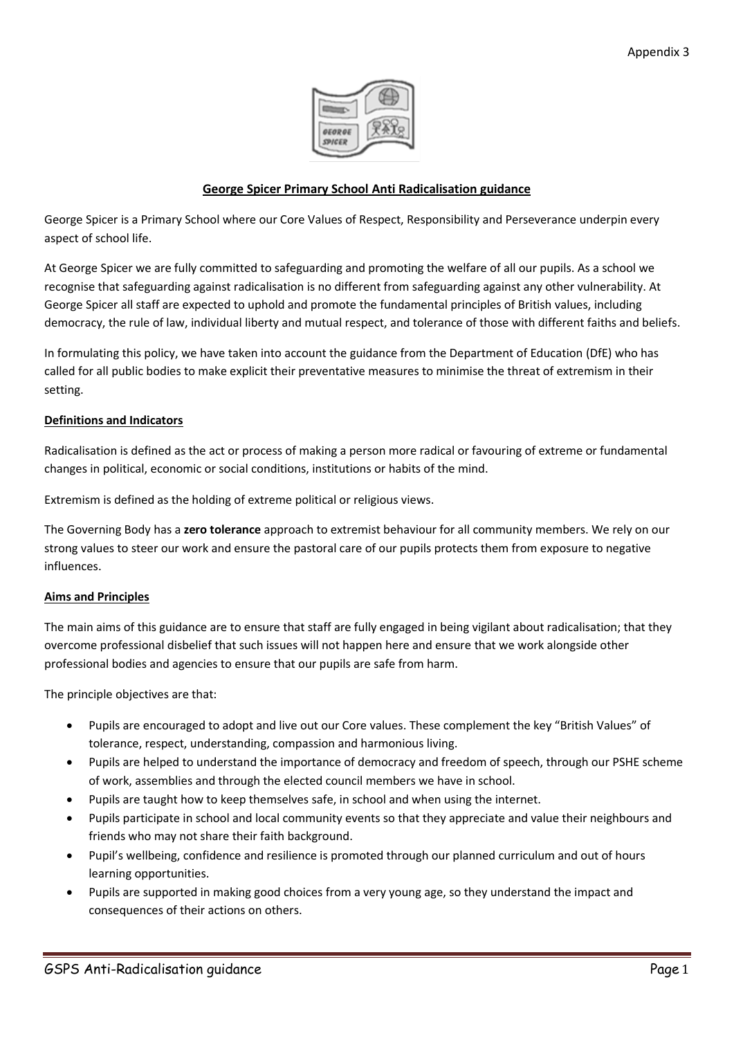

# **George Spicer Primary School Anti Radicalisation guidance**

George Spicer is a Primary School where our Core Values of Respect, Responsibility and Perseverance underpin every aspect of school life.

At George Spicer we are fully committed to safeguarding and promoting the welfare of all our pupils. As a school we recognise that safeguarding against radicalisation is no different from safeguarding against any other vulnerability. At George Spicer all staff are expected to uphold and promote the fundamental principles of British values, including democracy, the rule of law, individual liberty and mutual respect, and tolerance of those with different faiths and beliefs.

In formulating this policy, we have taken into account the guidance from the Department of Education (DfE) who has called for all public bodies to make explicit their preventative measures to minimise the threat of extremism in their setting.

## **Definitions and Indicators**

Radicalisation is defined as the act or process of making a person more radical or favouring of extreme or fundamental changes in political, economic or social conditions, institutions or habits of the mind.

Extremism is defined as the holding of extreme political or religious views.

The Governing Body has a **zero tolerance** approach to extremist behaviour for all community members. We rely on our strong values to steer our work and ensure the pastoral care of our pupils protects them from exposure to negative influences.

## **Aims and Principles**

The main aims of this guidance are to ensure that staff are fully engaged in being vigilant about radicalisation; that they overcome professional disbelief that such issues will not happen here and ensure that we work alongside other professional bodies and agencies to ensure that our pupils are safe from harm.

The principle objectives are that:

- Pupils are encouraged to adopt and live out our Core values. These complement the key "British Values" of tolerance, respect, understanding, compassion and harmonious living.
- Pupils are helped to understand the importance of democracy and freedom of speech, through our PSHE scheme of work, assemblies and through the elected council members we have in school.
- Pupils are taught how to keep themselves safe, in school and when using the internet.
- Pupils participate in school and local community events so that they appreciate and value their neighbours and friends who may not share their faith background.
- Pupil's wellbeing, confidence and resilience is promoted through our planned curriculum and out of hours learning opportunities.
- Pupils are supported in making good choices from a very young age, so they understand the impact and consequences of their actions on others.